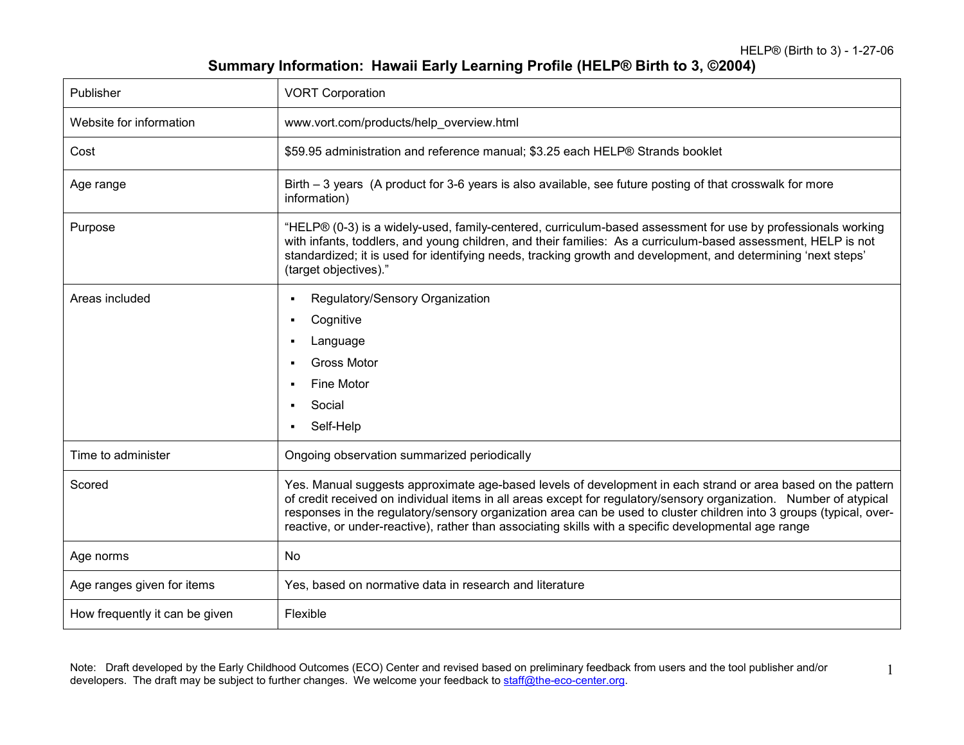HELP® (Birth to 3) - 1-27-06

1

## Summary Information: Hawaii Early Learning Profile (HELP® Birth to 3, ©2004)

| Publisher                      | <b>VORT Corporation</b>                                                                                                                                                                                                                                                                                                                                                                                                                                           |
|--------------------------------|-------------------------------------------------------------------------------------------------------------------------------------------------------------------------------------------------------------------------------------------------------------------------------------------------------------------------------------------------------------------------------------------------------------------------------------------------------------------|
| Website for information        | www.vort.com/products/help_overview.html                                                                                                                                                                                                                                                                                                                                                                                                                          |
| Cost                           | \$59.95 administration and reference manual; \$3.25 each HELP® Strands booklet                                                                                                                                                                                                                                                                                                                                                                                    |
| Age range                      | Birth – 3 years (A product for 3-6 years is also available, see future posting of that crosswalk for more<br>information)                                                                                                                                                                                                                                                                                                                                         |
| Purpose                        | "HELP® (0-3) is a widely-used, family-centered, curriculum-based assessment for use by professionals working<br>with infants, toddlers, and young children, and their families: As a curriculum-based assessment, HELP is not<br>standardized; it is used for identifying needs, tracking growth and development, and determining 'next steps'<br>(target objectives)."                                                                                           |
| Areas included                 | Regulatory/Sensory Organization<br>Cognitive<br>$\blacksquare$<br>Language<br><b>Gross Motor</b><br>Fine Motor<br>Social<br>Self-Help                                                                                                                                                                                                                                                                                                                             |
| Time to administer             | Ongoing observation summarized periodically                                                                                                                                                                                                                                                                                                                                                                                                                       |
| Scored                         | Yes. Manual suggests approximate age-based levels of development in each strand or area based on the pattern<br>of credit received on individual items in all areas except for regulatory/sensory organization. Number of atypical<br>responses in the regulatory/sensory organization area can be used to cluster children into 3 groups (typical, over-<br>reactive, or under-reactive), rather than associating skills with a specific developmental age range |
| Age norms                      | No                                                                                                                                                                                                                                                                                                                                                                                                                                                                |
| Age ranges given for items     | Yes, based on normative data in research and literature                                                                                                                                                                                                                                                                                                                                                                                                           |
| How frequently it can be given | Flexible                                                                                                                                                                                                                                                                                                                                                                                                                                                          |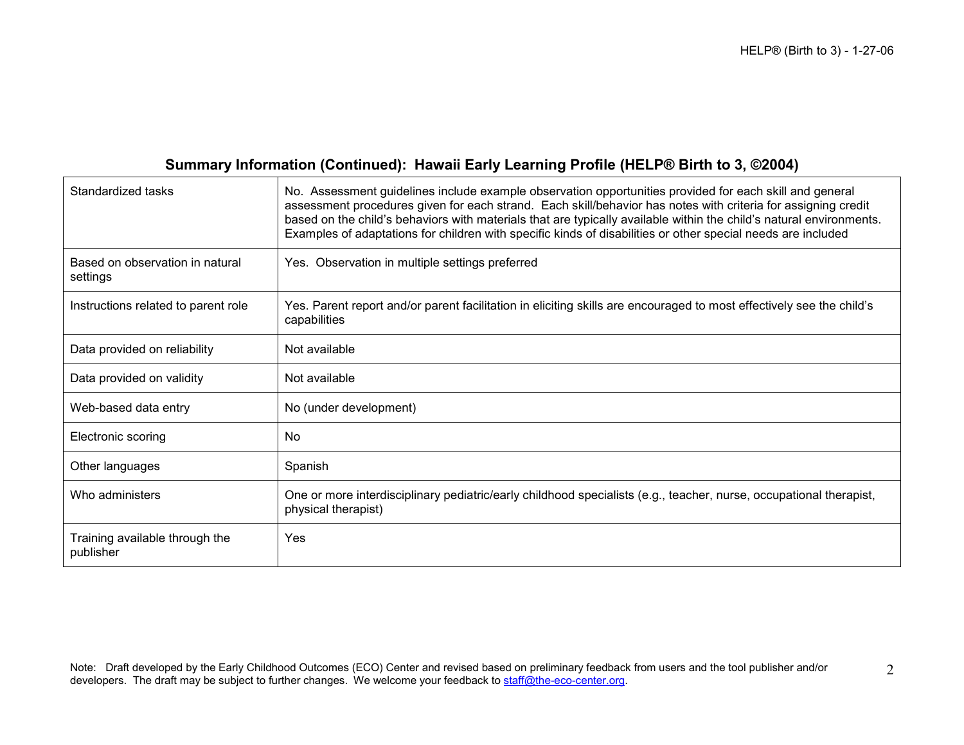## Summary Information (Continued): Hawaii Early Learning Profile (HELP® Birth to 3, ©2004)

| Standardized tasks                          | No. Assessment guidelines include example observation opportunities provided for each skill and general<br>assessment procedures given for each strand. Each skill/behavior has notes with criteria for assigning credit<br>based on the child's behaviors with materials that are typically available within the child's natural environments.<br>Examples of adaptations for children with specific kinds of disabilities or other special needs are included |
|---------------------------------------------|-----------------------------------------------------------------------------------------------------------------------------------------------------------------------------------------------------------------------------------------------------------------------------------------------------------------------------------------------------------------------------------------------------------------------------------------------------------------|
| Based on observation in natural<br>settings | Yes. Observation in multiple settings preferred                                                                                                                                                                                                                                                                                                                                                                                                                 |
| Instructions related to parent role         | Yes. Parent report and/or parent facilitation in eliciting skills are encouraged to most effectively see the child's<br>capabilities                                                                                                                                                                                                                                                                                                                            |
| Data provided on reliability                | Not available                                                                                                                                                                                                                                                                                                                                                                                                                                                   |
| Data provided on validity                   | Not available                                                                                                                                                                                                                                                                                                                                                                                                                                                   |
| Web-based data entry                        | No (under development)                                                                                                                                                                                                                                                                                                                                                                                                                                          |
| Electronic scoring                          | No                                                                                                                                                                                                                                                                                                                                                                                                                                                              |
| Other languages                             | Spanish                                                                                                                                                                                                                                                                                                                                                                                                                                                         |
| Who administers                             | One or more interdisciplinary pediatric/early childhood specialists (e.g., teacher, nurse, occupational therapist,<br>physical therapist)                                                                                                                                                                                                                                                                                                                       |
| Training available through the<br>publisher | Yes                                                                                                                                                                                                                                                                                                                                                                                                                                                             |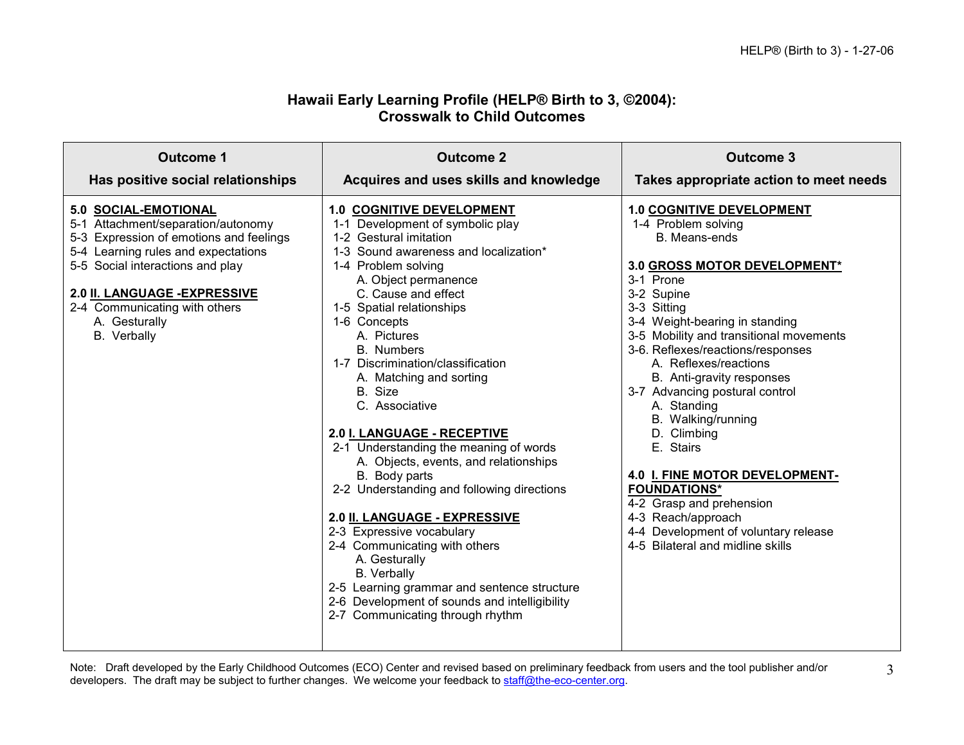## Hawaii Early Learning Profile (HELP® Birth to 3, ©2004): Crosswalk to Child Outcomes

| Outcome 1                                                                                                                                                                                                                                                                          | <b>Outcome 2</b>                                                                                                                                                                                                                                                                                                                                                                                                                                                                                                                                                                                                                                                                                                                                                                                                                                | Outcome 3                                                                                                                                                                                                                                                                                                                                                                                                                                                                                                                                                                                                            |
|------------------------------------------------------------------------------------------------------------------------------------------------------------------------------------------------------------------------------------------------------------------------------------|-------------------------------------------------------------------------------------------------------------------------------------------------------------------------------------------------------------------------------------------------------------------------------------------------------------------------------------------------------------------------------------------------------------------------------------------------------------------------------------------------------------------------------------------------------------------------------------------------------------------------------------------------------------------------------------------------------------------------------------------------------------------------------------------------------------------------------------------------|----------------------------------------------------------------------------------------------------------------------------------------------------------------------------------------------------------------------------------------------------------------------------------------------------------------------------------------------------------------------------------------------------------------------------------------------------------------------------------------------------------------------------------------------------------------------------------------------------------------------|
| Has positive social relationships                                                                                                                                                                                                                                                  | Acquires and uses skills and knowledge                                                                                                                                                                                                                                                                                                                                                                                                                                                                                                                                                                                                                                                                                                                                                                                                          | Takes appropriate action to meet needs                                                                                                                                                                                                                                                                                                                                                                                                                                                                                                                                                                               |
| 5.0 SOCIAL-EMOTIONAL<br>5-1 Attachment/separation/autonomy<br>5-3 Expression of emotions and feelings<br>5-4 Learning rules and expectations<br>5-5 Social interactions and play<br>2.0 II. LANGUAGE - EXPRESSIVE<br>2-4 Communicating with others<br>A. Gesturally<br>B. Verbally | <b>1.0 COGNITIVE DEVELOPMENT</b><br>1-1 Development of symbolic play<br>1-2 Gestural imitation<br>1-3 Sound awareness and localization*<br>1-4 Problem solving<br>A. Object permanence<br>C. Cause and effect<br>1-5 Spatial relationships<br>1-6 Concepts<br>A. Pictures<br>B. Numbers<br>1-7 Discrimination/classification<br>A. Matching and sorting<br>B. Size<br>C. Associative<br>2.0 I. LANGUAGE - RECEPTIVE<br>2-1 Understanding the meaning of words<br>A. Objects, events, and relationships<br>B. Body parts<br>2-2 Understanding and following directions<br>2.0 II. LANGUAGE - EXPRESSIVE<br>2-3 Expressive vocabulary<br>2-4 Communicating with others<br>A. Gesturally<br><b>B.</b> Verbally<br>2-5 Learning grammar and sentence structure<br>2-6 Development of sounds and intelligibility<br>2-7 Communicating through rhythm | <b>1.0 COGNITIVE DEVELOPMENT</b><br>1-4 Problem solving<br>B. Means-ends<br>3.0 GROSS MOTOR DEVELOPMENT*<br>3-1 Prone<br>3-2 Supine<br>3-3 Sitting<br>3-4 Weight-bearing in standing<br>3-5 Mobility and transitional movements<br>3-6. Reflexes/reactions/responses<br>A. Reflexes/reactions<br>B. Anti-gravity responses<br>3-7 Advancing postural control<br>A. Standing<br>B. Walking/running<br>D. Climbing<br>E. Stairs<br>4.0 I. FINE MOTOR DEVELOPMENT-<br><b>FOUNDATIONS*</b><br>4-2 Grasp and prehension<br>4-3 Reach/approach<br>4-4 Development of voluntary release<br>4-5 Bilateral and midline skills |

Note: Draft developed by the Early Childhood Outcomes (ECO) Center and revised based on preliminary feedback from users and the tool publisher and/or<br>developers. The draft may be subject to further changes. We welcome